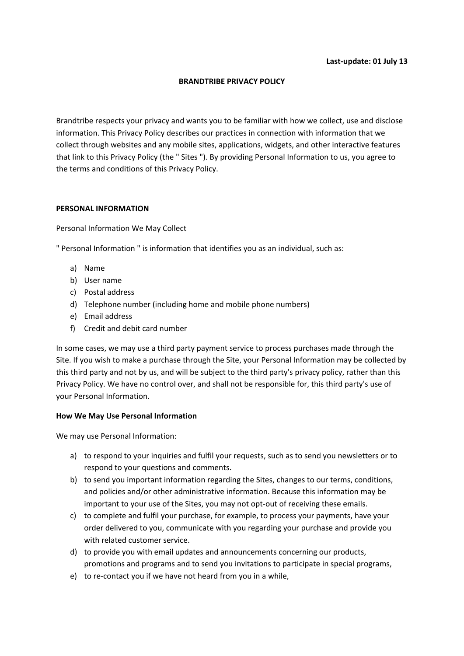# **BRANDTRIBE PRIVACY POLICY**

Brandtribe respects your privacy and wants you to be familiar with how we collect, use and disclose information. This Privacy Policy describes our practices in connection with information that we collect through websites and any mobile sites, applications, widgets, and other interactive features that link to this Privacy Policy (the " Sites "). By providing Personal Information to us, you agree to the terms and conditions of this Privacy Policy.

## **PERSONAL INFORMATION**

Personal Information We May Collect

" Personal Information " is information that identifies you as an individual, such as:

- a) Name
- b) User name
- c) Postal address
- d) Telephone number (including home and mobile phone numbers)
- e) Email address
- f) Credit and debit card number

In some cases, we may use a third party payment service to process purchases made through the Site. If you wish to make a purchase through the Site, your Personal Information may be collected by this third party and not by us, and will be subject to the third party's privacy policy, rather than this Privacy Policy. We have no control over, and shall not be responsible for, this third party's use of your Personal Information.

## **How We May Use Personal Information**

We may use Personal Information:

- a) to respond to your inquiries and fulfil your requests, such as to send you newsletters or to respond to your questions and comments.
- b) to send you important information regarding the Sites, changes to our terms, conditions, and policies and/or other administrative information. Because this information may be important to your use of the Sites, you may not opt-out of receiving these emails.
- c) to complete and fulfil your purchase, for example, to process your payments, have your order delivered to you, communicate with you regarding your purchase and provide you with related customer service.
- d) to provide you with email updates and announcements concerning our products, promotions and programs and to send you invitations to participate in special programs,
- e) to re-contact you if we have not heard from you in a while,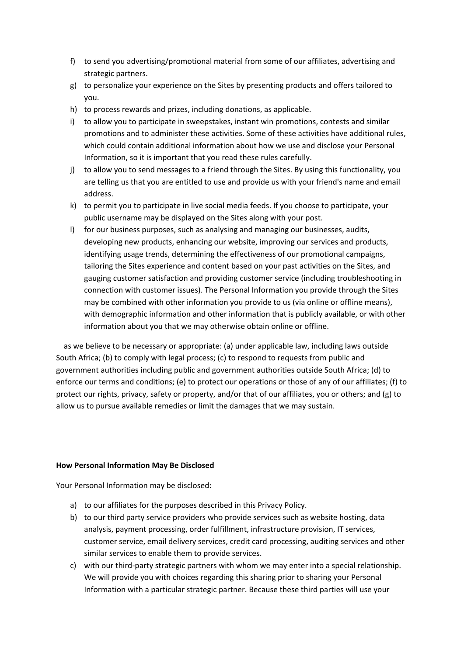- f) to send you advertising/promotional material from some of our affiliates, advertising and strategic partners.
- g) to personalize your experience on the Sites by presenting products and offers tailored to you.
- h) to process rewards and prizes, including donations, as applicable.
- i) to allow you to participate in sweepstakes, instant win promotions, contests and similar promotions and to administer these activities. Some of these activities have additional rules, which could contain additional information about how we use and disclose your Personal Information, so it is important that you read these rules carefully.
- j) to allow you to send messages to a friend through the Sites. By using this functionality, you are telling us that you are entitled to use and provide us with your friend's name and email address.
- k) to permit you to participate in live social media feeds. If you choose to participate, your public username may be displayed on the Sites along with your post.
- l) for our business purposes, such as analysing and managing our businesses, audits, developing new products, enhancing our website, improving our services and products, identifying usage trends, determining the effectiveness of our promotional campaigns, tailoring the Sites experience and content based on your past activities on the Sites, and gauging customer satisfaction and providing customer service (including troubleshooting in connection with customer issues). The Personal Information you provide through the Sites may be combined with other information you provide to us (via online or offline means), with demographic information and other information that is publicly available, or with other information about you that we may otherwise obtain online or offline.

 as we believe to be necessary or appropriate: (a) under applicable law, including laws outside South Africa; (b) to comply with legal process; (c) to respond to requests from public and government authorities including public and government authorities outside South Africa; (d) to enforce our terms and conditions; (e) to protect our operations or those of any of our affiliates; (f) to protect our rights, privacy, safety or property, and/or that of our affiliates, you or others; and (g) to allow us to pursue available remedies or limit the damages that we may sustain.

## **How Personal Information May Be Disclosed**

Your Personal Information may be disclosed:

- a) to our affiliates for the purposes described in this Privacy Policy.
- b) to our third party service providers who provide services such as website hosting, data analysis, payment processing, order fulfillment, infrastructure provision, IT services, customer service, email delivery services, credit card processing, auditing services and other similar services to enable them to provide services.
- c) with our third-party strategic partners with whom we may enter into a special relationship. We will provide you with choices regarding this sharing prior to sharing your Personal Information with a particular strategic partner. Because these third parties will use your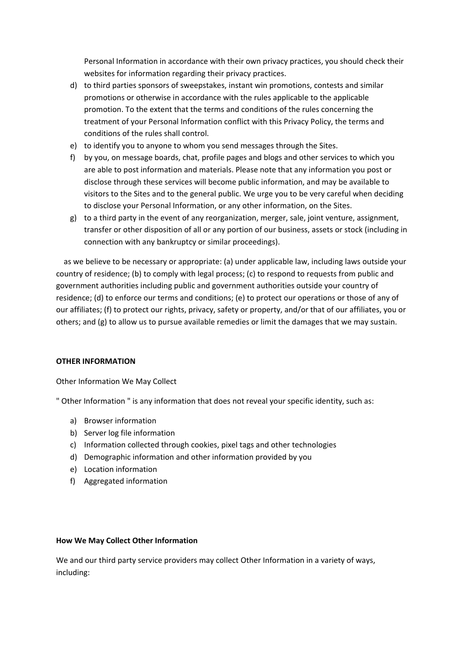Personal Information in accordance with their own privacy practices, you should check their websites for information regarding their privacy practices.

- d) to third parties sponsors of sweepstakes, instant win promotions, contests and similar promotions or otherwise in accordance with the rules applicable to the applicable promotion. To the extent that the terms and conditions of the rules concerning the treatment of your Personal Information conflict with this Privacy Policy, the terms and conditions of the rules shall control.
- e) to identify you to anyone to whom you send messages through the Sites.
- f) by you, on message boards, chat, profile pages and blogs and other services to which you are able to post information and materials. Please note that any information you post or disclose through these services will become public information, and may be available to visitors to the Sites and to the general public. We urge you to be very careful when deciding to disclose your Personal Information, or any other information, on the Sites.
- g) to a third party in the event of any reorganization, merger, sale, joint venture, assignment, transfer or other disposition of all or any portion of our business, assets or stock (including in connection with any bankruptcy or similar proceedings).

 as we believe to be necessary or appropriate: (a) under applicable law, including laws outside your country of residence; (b) to comply with legal process; (c) to respond to requests from public and government authorities including public and government authorities outside your country of residence; (d) to enforce our terms and conditions; (e) to protect our operations or those of any of our affiliates; (f) to protect our rights, privacy, safety or property, and/or that of our affiliates, you or others; and (g) to allow us to pursue available remedies or limit the damages that we may sustain.

## **OTHER INFORMATION**

Other Information We May Collect

" Other Information " is any information that does not reveal your specific identity, such as:

- a) Browser information
- b) Server log file information
- c) Information collected through cookies, pixel tags and other technologies
- d) Demographic information and other information provided by you
- e) Location information
- f) Aggregated information

## **How We May Collect Other Information**

We and our third party service providers may collect Other Information in a variety of ways, including: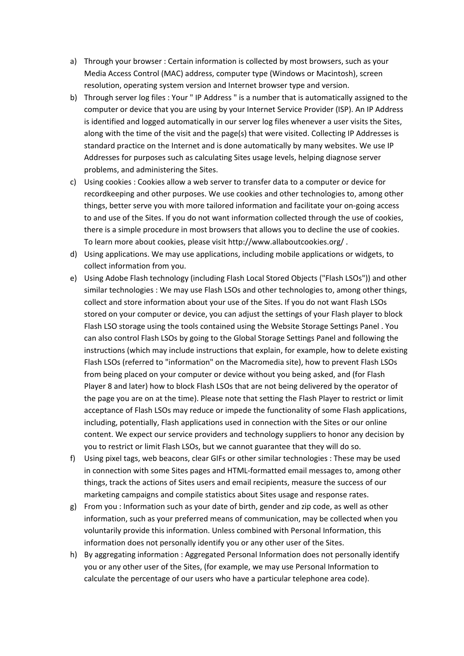- a) Through your browser : Certain information is collected by most browsers, such as your Media Access Control (MAC) address, computer type (Windows or Macintosh), screen resolution, operating system version and Internet browser type and version.
- b) Through server log files : Your " IP Address " is a number that is automatically assigned to the computer or device that you are using by your Internet Service Provider (ISP). An IP Address is identified and logged automatically in our server log files whenever a user visits the Sites, along with the time of the visit and the page(s) that were visited. Collecting IP Addresses is standard practice on the Internet and is done automatically by many websites. We use IP Addresses for purposes such as calculating Sites usage levels, helping diagnose server problems, and administering the Sites.
- c) Using cookies : Cookies allow a web server to transfer data to a computer or device for recordkeeping and other purposes. We use cookies and other technologies to, among other things, better serve you with more tailored information and facilitate your on-going access to and use of the Sites. If you do not want information collected through the use of cookies, there is a simple procedure in most browsers that allows you to decline the use of cookies. To learn more about cookies, please visit http://www.allaboutcookies.org/ .
- d) Using applications. We may use applications, including mobile applications or widgets, to collect information from you.
- e) Using Adobe Flash technology (including Flash Local Stored Objects ("Flash LSOs")) and other similar technologies : We may use Flash LSOs and other technologies to, among other things, collect and store information about your use of the Sites. If you do not want Flash LSOs stored on your computer or device, you can adjust the settings of your Flash player to block Flash LSO storage using the tools contained using the Website Storage Settings Panel . You can also control Flash LSOs by going to the Global Storage Settings Panel and following the instructions (which may include instructions that explain, for example, how to delete existing Flash LSOs (referred to "information" on the Macromedia site), how to prevent Flash LSOs from being placed on your computer or device without you being asked, and (for Flash Player 8 and later) how to block Flash LSOs that are not being delivered by the operator of the page you are on at the time). Please note that setting the Flash Player to restrict or limit acceptance of Flash LSOs may reduce or impede the functionality of some Flash applications, including, potentially, Flash applications used in connection with the Sites or our online content. We expect our service providers and technology suppliers to honor any decision by you to restrict or limit Flash LSOs, but we cannot guarantee that they will do so.
- f) Using pixel tags, web beacons, clear GIFs or other similar technologies : These may be used in connection with some Sites pages and HTML-formatted email messages to, among other things, track the actions of Sites users and email recipients, measure the success of our marketing campaigns and compile statistics about Sites usage and response rates.
- g) From you : Information such as your date of birth, gender and zip code, as well as other information, such as your preferred means of communication, may be collected when you voluntarily provide this information. Unless combined with Personal Information, this information does not personally identify you or any other user of the Sites.
- h) By aggregating information : Aggregated Personal Information does not personally identify you or any other user of the Sites, (for example, we may use Personal Information to calculate the percentage of our users who have a particular telephone area code).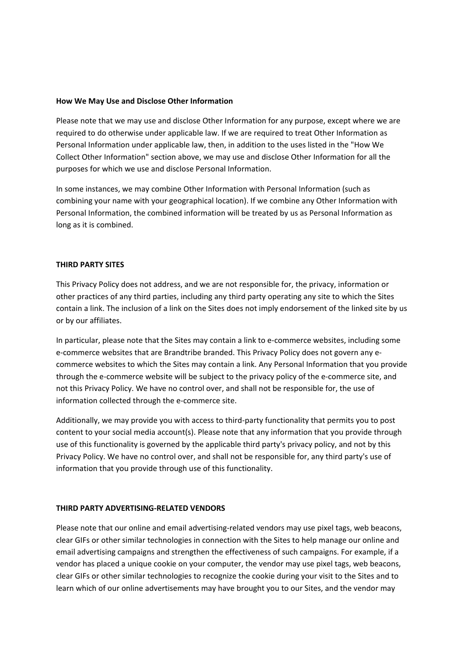## **How We May Use and Disclose Other Information**

Please note that we may use and disclose Other Information for any purpose, except where we are required to do otherwise under applicable law. If we are required to treat Other Information as Personal Information under applicable law, then, in addition to the uses listed in the "How We Collect Other Information" section above, we may use and disclose Other Information for all the purposes for which we use and disclose Personal Information.

In some instances, we may combine Other Information with Personal Information (such as combining your name with your geographical location). If we combine any Other Information with Personal Information, the combined information will be treated by us as Personal Information as long as it is combined.

### **THIRD PARTY SITES**

This Privacy Policy does not address, and we are not responsible for, the privacy, information or other practices of any third parties, including any third party operating any site to which the Sites contain a link. The inclusion of a link on the Sites does not imply endorsement of the linked site by us or by our affiliates.

In particular, please note that the Sites may contain a link to e-commerce websites, including some e-commerce websites that are Brandtribe branded. This Privacy Policy does not govern any ecommerce websites to which the Sites may contain a link. Any Personal Information that you provide through the e-commerce website will be subject to the privacy policy of the e-commerce site, and not this Privacy Policy. We have no control over, and shall not be responsible for, the use of information collected through the e-commerce site.

Additionally, we may provide you with access to third-party functionality that permits you to post content to your social media account(s). Please note that any information that you provide through use of this functionality is governed by the applicable third party's privacy policy, and not by this Privacy Policy. We have no control over, and shall not be responsible for, any third party's use of information that you provide through use of this functionality.

### **THIRD PARTY ADVERTISING-RELATED VENDORS**

Please note that our online and email advertising-related vendors may use pixel tags, web beacons, clear GIFs or other similar technologies in connection with the Sites to help manage our online and email advertising campaigns and strengthen the effectiveness of such campaigns. For example, if a vendor has placed a unique cookie on your computer, the vendor may use pixel tags, web beacons, clear GIFs or other similar technologies to recognize the cookie during your visit to the Sites and to learn which of our online advertisements may have brought you to our Sites, and the vendor may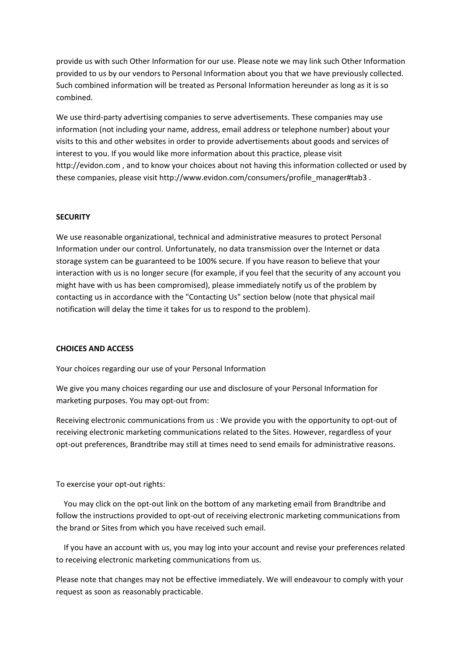provide us with such Other Information for our use. Please note we may link such Other Information provided to us by our vendors to Personal Information about you that we have previously collected. Such combined information will be treated as Personal Information hereunder as long as it is so combined.

We use third-party advertising companies to serve advertisements. These companies may use information (not including your name, address, email address or telephone number) about your visits to this and other websites in order to provide advertisements about goods and services of interest to you. If you would like more information about this practice, please visit http://evidon.com , and to know your choices about not having this information collected or used by these companies, please visit http://www.evidon.com/consumers/profile\_manager#tab3 .

## **SECURITY**

We use reasonable organizational, technical and administrative measures to protect Personal Information under our control. Unfortunately, no data transmission over the Internet or data storage system can be guaranteed to be 100% secure. If you have reason to believe that your interaction with us is no longer secure (for example, if you feel that the security of any account you might have with us has been compromised), please immediately notify us of the problem by contacting us in accordance with the "Contacting Us" section below (note that physical mail notification will delay the time it takes for us to respond to the problem).

### **CHOICES AND ACCESS**

Your choices regarding our use of your Personal Information

We give you many choices regarding our use and disclosure of your Personal Information for marketing purposes. You may opt-out from:

Receiving electronic communications from us : We provide you with the opportunity to opt-out of receiving electronic marketing communications related to the Sites. However, regardless of your opt-out preferences, Brandtribe may still at times need to send emails for administrative reasons.

To exercise your opt-out rights:

 You may click on the opt-out link on the bottom of any marketing email from Brandtribe and follow the instructions provided to opt-out of receiving electronic marketing communications from the brand or Sites from which you have received such email.

 If you have an account with us, you may log into your account and revise your preferences related to receiving electronic marketing communications from us.

Please note that changes may not be effective immediately. We will endeavour to comply with your request as soon as reasonably practicable.